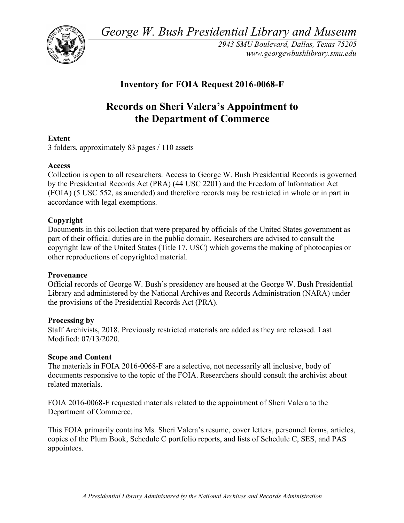*George W. Bush Presidential Library and Museum* 



*2943 SMU Boulevard, Dallas, Texas 75205 <www.georgewbushlibrary.smu.edu>* 

# **Inventory for FOIA Request 2016-0068-F**

# **Records on Sheri Valera's Appointment to the Department of Commerce**

# **Extent**

3 folders, approximately 83 pages / 110 assets

# **Access**

 Collection is open to all researchers. Access to George W. Bush Presidential Records is governed by the Presidential Records Act (PRA) (44 USC 2201) and the Freedom of Information Act (FOIA) (5 USC 552, as amended) and therefore records may be restricted in whole or in part in accordance with legal exemptions.

### **Copyright**

 Documents in this collection that were prepared by officials of the United States government as part of their official duties are in the public domain. Researchers are advised to consult the copyright law of the United States (Title 17, USC) which governs the making of photocopies or other reproductions of copyrighted material.

### **Provenance**

 Official records of George W. Bush's presidency are housed at the George W. Bush Presidential Library and administered by the National Archives and Records Administration (NARA) under the provisions of the Presidential Records Act (PRA).

### **Processing by**

 Staff Archivists, 2018. Previously restricted materials are added as they are released. Last Modified: 07/13/2020.

### **Scope and Content**

 The materials in FOIA 2016-0068-F are a selective, not necessarily all inclusive, body of documents responsive to the topic of the FOIA. Researchers should consult the archivist about related materials.

 FOIA 2016-0068-F requested materials related to the appointment of Sheri Valera to the Department of Commerce.

 This FOIA primarily contains Ms. Sheri Valera's resume, cover letters, personnel forms, articles, copies of the Plum Book, Schedule C portfolio reports, and lists of Schedule C, SES, and PAS appointees.